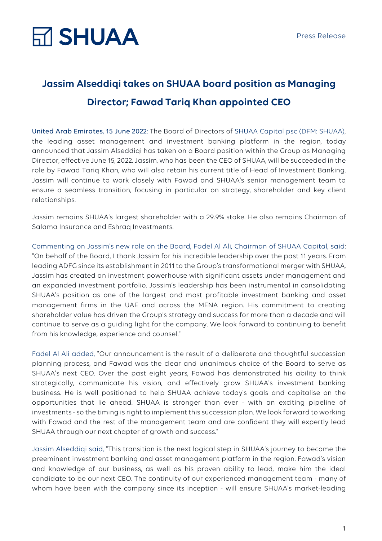### **Jassim Alseddiqi takes on SHUAA board position as Managing Director; Fawad Tariq Khan appointed CEO**

United Arab Emirates, 15 June 2022: The Board of Directors of SHUAA Capital psc (DFM: SHUAA), the leading asset management and investment banking platform in the region, today announced that Jassim Alseddiqi has taken on a Board position within the Group as Managing Director, effective June 15, 2022. Jassim, who has been the CEO of SHUAA, will be succeeded in the role by Fawad Tariq Khan, who will also retain his current title of Head of Investment Banking. Jassim will continue to work closely with Fawad and SHUAA's senior management team to ensure a seamless transition, focusing in particular on strategy, shareholder and key client relationships.

Jassim remains SHUAA's largest shareholder with a 29.9% stake. He also remains Chairman of Salama Insurance and Eshraq Investments.

Commenting on Jassim's new role on the Board, Fadel Al Ali, Chairman of SHUAA Capital, said: "On behalf of the Board, I thank Jassim for his incredible leadership over the past 11 years. From leading ADFG since its establishment in 2011 to the Group's transformational merger with SHUAA, Jassim has created an investment powerhouse with significant assets under management and an expanded investment portfolio. Jassim's leadership has been instrumental in consolidating SHUAA's position as one of the largest and most profitable investment banking and asset management firms in the UAE and across the MENA region. His commitment to creating shareholder value has driven the Group's strategy and success for more than a decade and will continue to serve as a guiding light for the company. We look forward to continuing to benefit from his knowledge, experience and counsel."

Fadel Al Ali added, "Our announcement is the result of a deliberate and thoughtful succession planning process, and Fawad was the clear and unanimous choice of the Board to serve as SHUAA's next CEO. Over the past eight years, Fawad has demonstrated his ability to think strategically, communicate his vision, and effectively grow SHUAA's investment banking business. He is well positioned to help SHUAA achieve today's goals and capitalise on the opportunities that lie ahead. SHUAA is stronger than ever - with an exciting pipeline of investments - so the timing is right to implement this succession plan. We look forward to working with Fawad and the rest of the management team and are confident they will expertly lead SHUAA through our next chapter of growth and success."

Jassim Alseddiqi said, "This transition is the next logical step in SHUAA's journey to become the preeminent investment banking and asset management platform in the region. Fawad's vision and knowledge of our business, as well as his proven ability to lead, make him the ideal candidate to be our next CEO. The continuity of our experienced management team - many of whom have been with the company since its inception - will ensure SHUAA's market-leading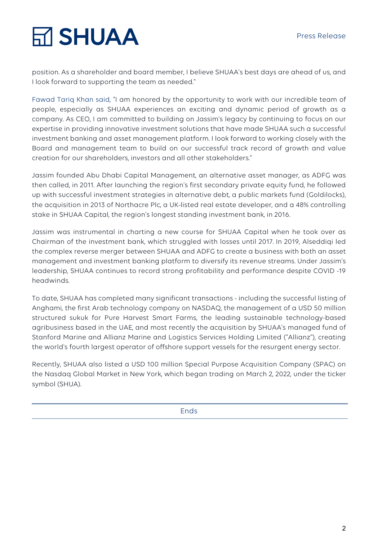# **M SHUAA**

position. As a shareholder and board member, I believe SHUAA's best days are ahead of us, and I look forward to supporting the team as needed."

Fawad Tariq Khan said, "I am honored by the opportunity to work with our incredible team of people, especially as SHUAA experiences an exciting and dynamic period of growth as a company. As CEO, I am committed to building on Jassim's legacy by continuing to focus on our expertise in providing innovative investment solutions that have made SHUAA such a successful investment banking and asset management platform. I look forward to working closely with the Board and management team to build on our successful track record of growth and value creation for our shareholders, investors and all other stakeholders."

Jassim founded Abu Dhabi Capital Management, an alternative asset manager, as ADFG was then called, in 2011. After launching the region's first secondary private equity fund, he followed up with successful investment strategies in alternative debt, a public markets fund (Goldilocks), the acquisition in 2013 of Northacre Plc, a UK-listed real estate developer, and a 48% controlling stake in SHUAA Capital, the region's longest standing investment bank, in 2016.

Jassim was instrumental in charting a new course for SHUAA Capital when he took over as Chairman of the investment bank, which struggled with losses until 2017. In 2019, Alseddiqi led the complex reverse merger between SHUAA and ADFG to create a business with both an asset management and investment banking platform to diversify its revenue streams. Under Jassim's leadership, SHUAA continues to record strong profitability and performance despite COVID -19 headwinds.

To date, SHUAA has completed many significant transactions - including the successful listing of Anghami, the first Arab technology company on NASDAQ, the management of a USD 50 million structured sukuk for Pure Harvest Smart Farms, the leading sustainable technology-based agribusiness based in the UAE, and most recently the acquisition by SHUAA's managed fund of Stanford Marine and Allianz Marine and Logistics Services Holding Limited ("Allianz"), creating the world's fourth largest operator of offshore support vessels for the resurgent energy sector.

Recently, SHUAA also listed a USD 100 million Special Purpose Acquisition Company (SPAC) on the Nasdaq Global Market in New York, which began trading on March 2, 2022, under the ticker symbol (SHUA).

**Ends**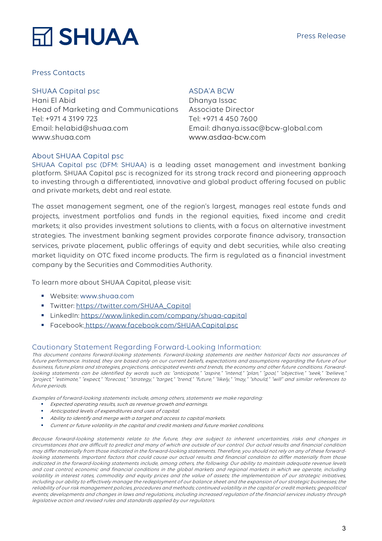## **M SHUAA**

#### Press Contacts

#### SHUAA Capital psc

Hani El Abid Head of Marketing and Communications Tel: +971 4 3199 723 Email: helabid@shuaa.com www.shuaa.com

#### ASDA'A BCW

Dhanya Issac Associate Director Tel: +971 4 450 7600 Email: dhanya.issac@bcw-global.com www.asdaa-bcw.com

#### About SHUAA Capital psc

SHUAA Capital psc (DFM: SHUAA) is a leading asset management and investment banking platform. SHUAA Capital psc is recognized for its strong track record and pioneering approach to investing through a differentiated, innovative and global product offering focused on public and private markets, debt and real estate.

The asset management segment, one of the region's largest, manages real estate funds and projects, investment portfolios and funds in the regional equities, fixed income and credit markets; it also provides investment solutions to clients, with a focus on alternative investment strategies. The investment banking segment provides corporate finance advisory, transaction services, private placement, public offerings of equity and debt securities, while also creating market liquidity on OTC fixed income products. The firm is regulated as a financial investment company by the Securities and Commodities Authority.

To learn more about SHUAA Capital, please visit:

- § Website: www.shuaa.com
- § Twitter: https://twitter.com/SHUAA\_Capital
- § LinkedIn: https://www.linkedin.com/company/shuaa-capital
- Facebook: https://www.facebook.com/SHUAA.Capital.psc

#### Cautionary Statement Regarding Forward-Looking Information:

This document contains forward-looking statements. Forward-looking statements are neither historical facts nor assurances of future performance. Instead, they are based only on our current beliefs, expectations and assumptions regarding the future of our business, future plans and strategies, projections, anticipated events and trends, the economy and other future conditions. Forwardlooking statements can be identified by words such as: "anticipate," "aspire," "intend," "plan," "goal," "objective," "seek," "believe," "project," "estimate," "expect," "forecast," "strategy," "target," "trend," "future," "likely," "may," "should," "will" and similar references to future periods.

Examples of forward-looking statements include, among others, statements we make regarding:

- **Expected operating results, such as revenue growth and earnings.**
- § Anticipated levels of expenditures and uses of capital.
- Ability to identify and merge with a target and access to capital markets.
- § Current or future volatility in the capital and credit markets and future market conditions.

Because forward-looking statements relate to the future, they are subject to inherent uncertainties, risks and changes in circumstances that are difficult to predict and many of which are outside of our control. Our actual results and financial condition may differ materially from those indicated in the forward-looking statements. Therefore, you should not rely on any of these forwardlooking statements. Important factors that could cause our actual results and financial condition to differ materially from those indicated in the forward-looking statements include, among others, the following: Our ability to maintain adequate revenue levels and cost control; economic and financial conditions in the global markets and regional markets in which we operate, including volatility in interest rates, commodity and equity prices and the value of assets; the implementation of our strategic initiatives, including our ability to effectively manage the redeployment of our balance sheet and the expansion of our strategic businesses; the reliability of our risk management policies, procedures and methods; continued volatility in the capital or credit markets; geopolitical events; developments and changes in laws and regulations, including increased regulation of the financial services industry through legislative action and revised rules and standards applied by our regulators.